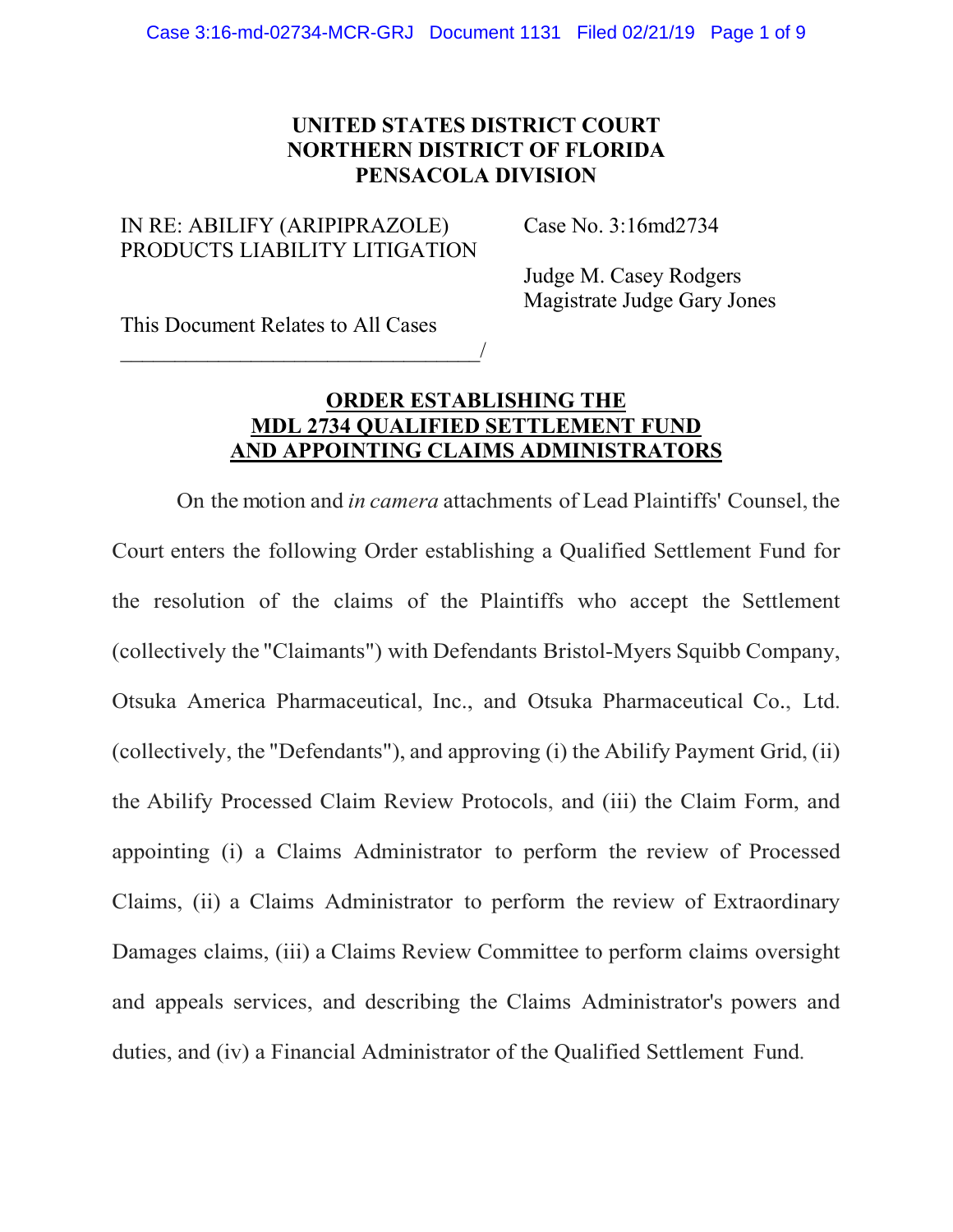## **UNITED STATES DISTRICT COURT NORTHERN DISTRICT OF FLORIDA PENSACOLA DIVISION**

## IN RE: ABILIFY (ARIPIPRAZOLE) PRODUCTS LIABILITY LITIGATION

\_\_\_\_\_\_\_\_\_\_\_\_\_\_\_\_\_\_\_\_\_\_\_\_\_\_\_\_\_\_\_\_\_/

Case No. 3:16md2734

Judge M. Casey Rodgers Magistrate Judge Gary Jones

This Document Relates to All Cases

## **ORDER ESTABLISHING THE MDL 2734 QUALIFIED SETTLEMENT FUND AND APPOINTING CLAIMS ADMINISTRATORS**

On the motion and *in camera* attachments of Lead Plaintiffs' Counsel, the Court enters the following Order establishing a Qualified Settlement Fund for the resolution of the claims of the Plaintiffs who accept the Settlement (collectively the "Claimants") with Defendants Bristol-Myers Squibb Company, Otsuka America Pharmaceutical, Inc., and Otsuka Pharmaceutical Co., Ltd. (collectively, the "Defendants"), and approving (i) the Abilify Payment Grid, (ii) the Abilify Processed Claim Review Protocols, and (iii) the Claim Form, and appointing (i) a Claims Administrator to perform the review of Processed Claims, (ii) a Claims Administrator to perform the review of Extraordinary Damages claims, (iii) a Claims Review Committee to perform claims oversight and appeals services, and describing the Claims Administrator's powers and duties, and (iv) a Financial Administrator of the Qualified Settlement Fund.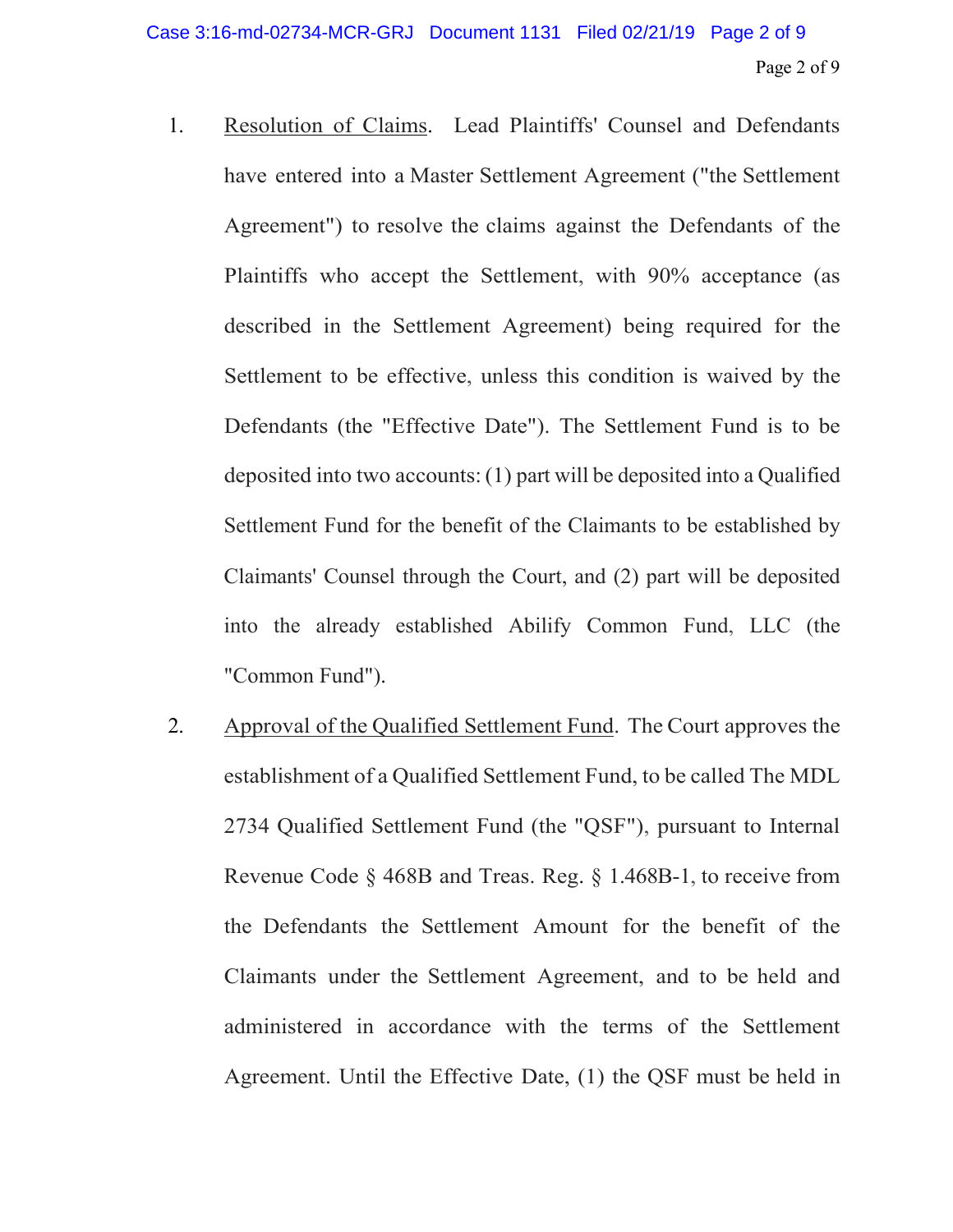- 1. Resolution of Claims. Lead Plaintiffs' Counsel and Defendants have entered into a Master Settlement Agreement ("the Settlement Agreement") to resolve the claims against the Defendants of the Plaintiffs who accept the Settlement, with 90% acceptance (as described in the Settlement Agreement) being required for the Settlement to be effective, unless this condition is waived by the Defendants (the "Effective Date"). The Settlement Fund is to be deposited into two accounts:(1) part will be deposited into a Qualified Settlement Fund for the benefit of the Claimants to be established by Claimants' Counsel through the Court, and (2) part will be deposited into the already established Abilify Common Fund, LLC (the "Common Fund").
- 2. Approval of the Qualified Settlement Fund. The Court approves the establishment of a Qualified Settlement Fund, to be called The MDL 2734 Qualified Settlement Fund (the "QSF"), pursuant to Internal Revenue Code § 468B and Treas. Reg. § 1.468B-1, to receive from the Defendants the Settlement Amount for the benefit of the Claimants under the Settlement Agreement, and to be held and administered in accordance with the terms of the Settlement Agreement. Until the Effective Date, (1) the QSF must be held in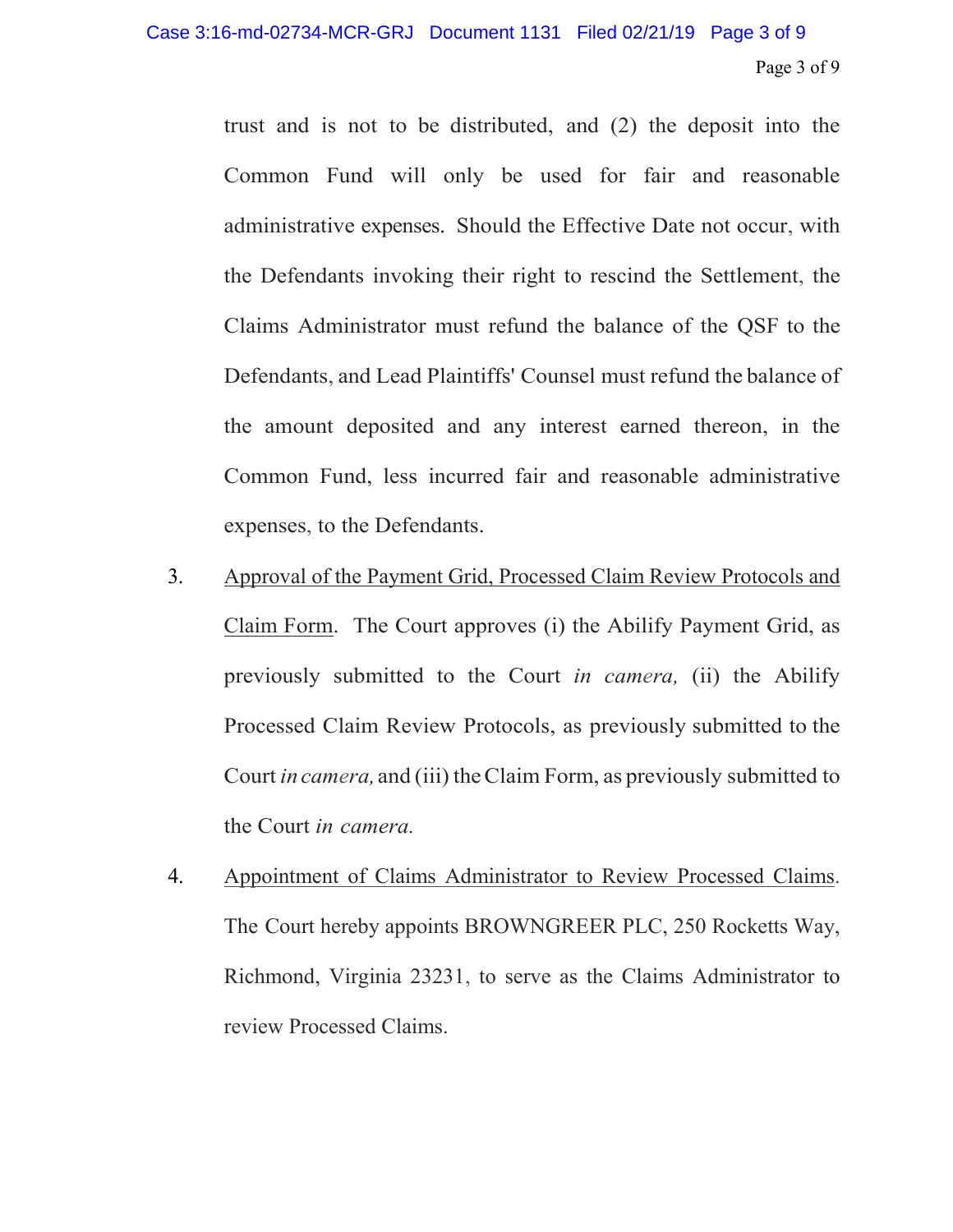trust and is not to be distributed, and (2) the deposit into the Common Fund will only be used for fair and reasonable administrative expenses. Should the Effective Date not occur, with the Defendants invoking their right to rescind the Settlement, the Claims Administrator must refund the balance of the QSF to the Defendants, and Lead Plaintiffs' Counsel must refund the balance of the amount deposited and any interest earned thereon, in the Common Fund, less incurred fair and reasonable administrative expenses, to the Defendants.

- 3. Approval of the Payment Grid, Processed Claim Review Protocols and Claim Form. The Court approves (i) the Abilify Payment Grid, as previously submitted to the Court *in camera,* (ii) the Abilify Processed Claim Review Protocols, as previously submitted to the Court *in camera,* and (iii) theClaim Form, as previously submitted to the Court *in camera.*
- 4. Appointment of Claims Administrator to Review Processed Claims. The Court hereby appoints BROWNGREER PLC, 250 Rocketts Way, Richmond, Virginia 23231, to serve as the Claims Administrator to review Processed Claims.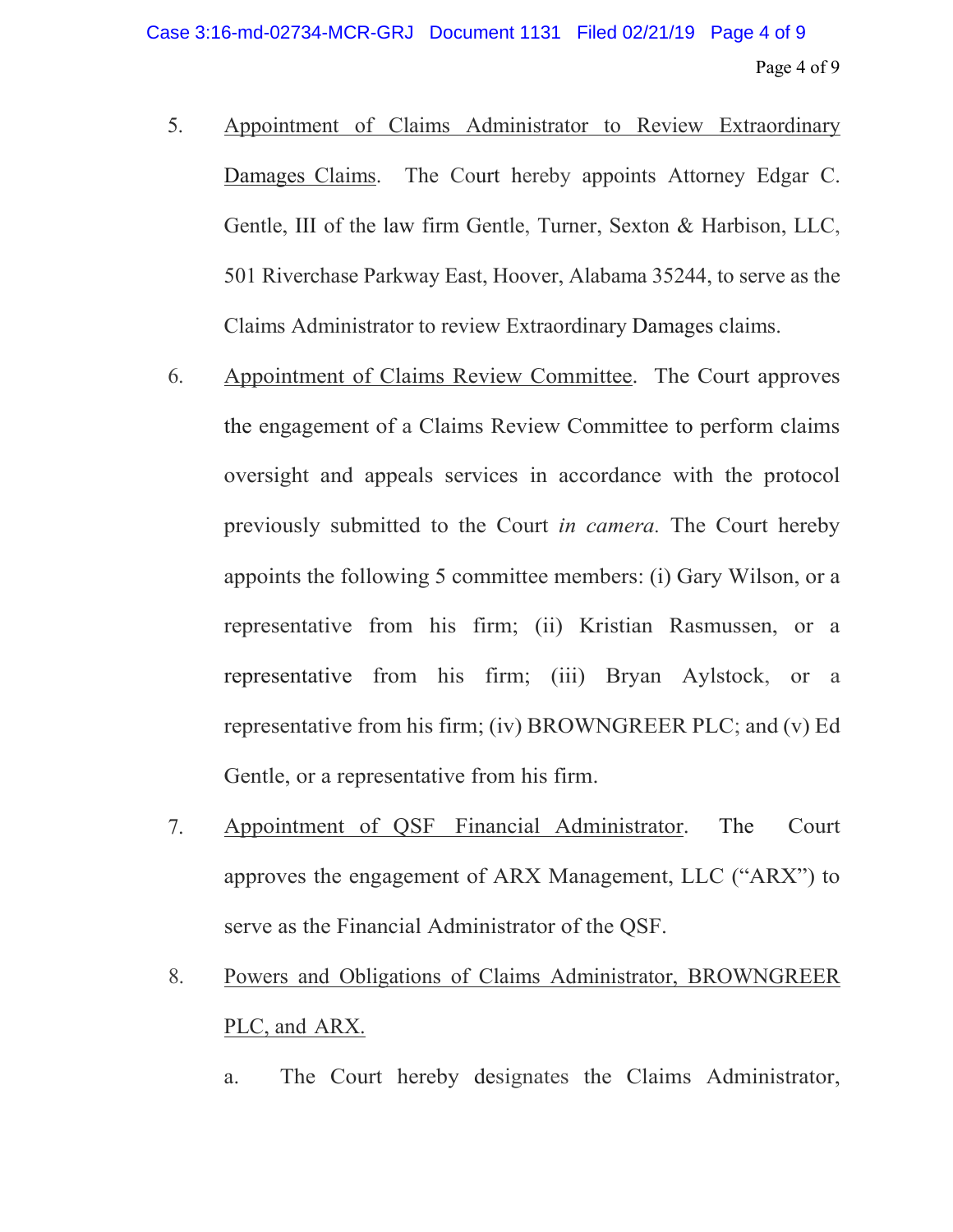- 5. Appointment of Claims Administrator to Review Extraordinary Damages Claims. The Court hereby appoints Attorney Edgar C. Gentle, III of the law firm Gentle, Turner, Sexton & Harbison, LLC, 501 Riverchase Parkway East, Hoover, Alabama 35244, to serve as the Claims Administrator to review Extraordinary Damages claims.
- 6. Appointment of Claims Review Committee. The Court approves the engagement of a Claims Review Committee to perform claims oversight and appeals services in accordance with the protocol previously submitted to the Court *in camera.* The Court hereby appoints the following 5 committee members: (i) Gary Wilson, or a representative from his firm; (ii) Kristian Rasmussen, or a representative from his firm; (iii) Bryan Aylstock, or a representative from his firm; (iv) BROWNGREER PLC; and (v) Ed Gentle, or a representative from his firm.
- 7. Appointment of QSF Financial Administrator. The Court approves the engagement of ARX Management, LLC ("ARX") to serve as the Financial Administrator of the QSF.
- 8. Powers and Obligations of Claims Administrator, BROWNGREER PLC, and ARX.
	- a. The Court hereby designates the Claims Administrator,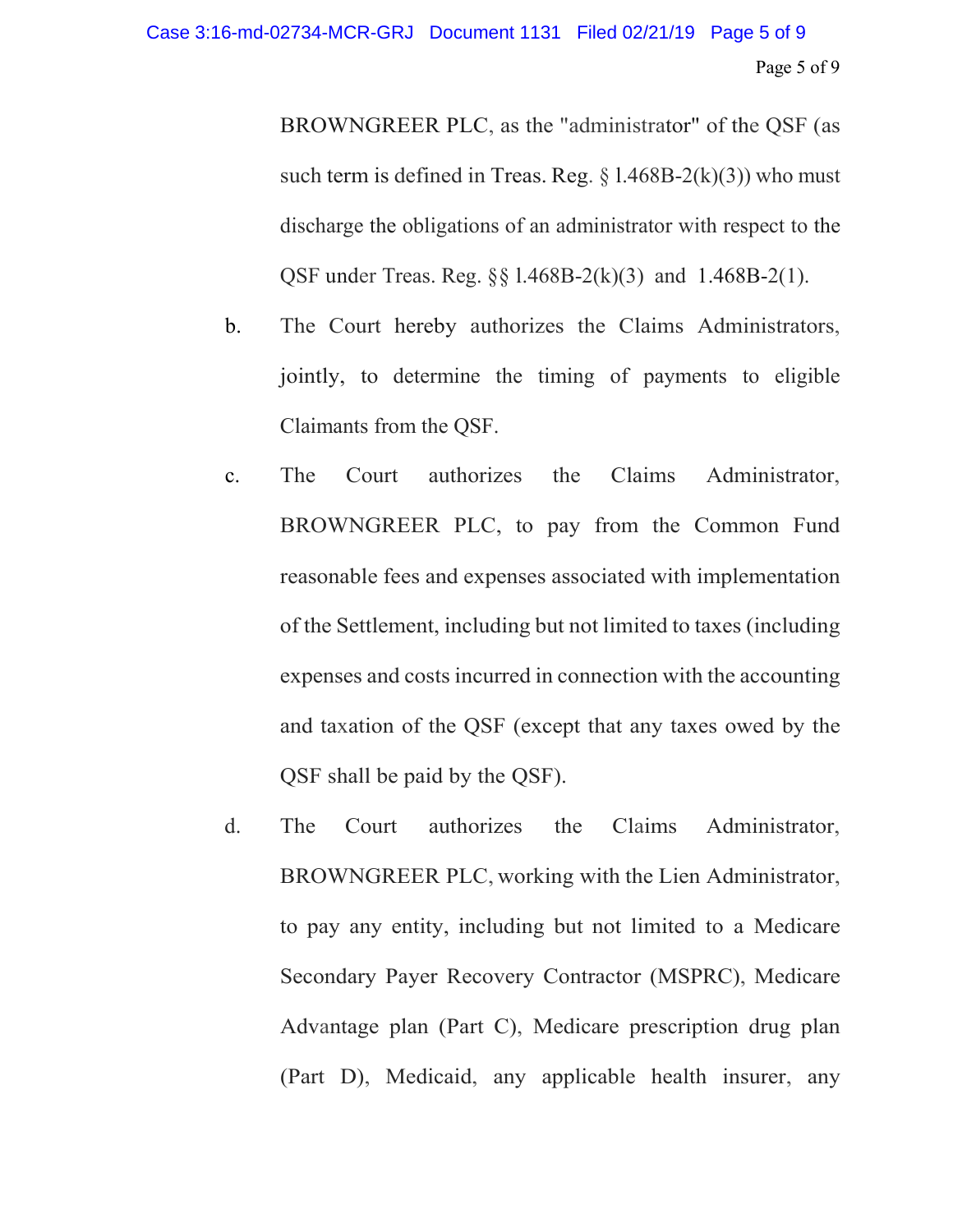BROWNGREER PLC, as the "administrator" of the QSF (as such term is defined in Treas. Reg.  $\S$  1.468B-2(k)(3)) who must discharge the obligations of an administrator with respect to the QSF under Treas. Reg. §§ l.468B-2(k)(3) and 1.468B-2(1).

- b. The Court hereby authorizes the Claims Administrators, jointly, to determine the timing of payments to eligible Claimants from the QSF.
- c. The Court authorizes the Claims Administrator, BROWNGREER PLC, to pay from the Common Fund reasonable fees and expenses associated with implementation of the Settlement, including but not limited to taxes (including expenses and costs incurred in connection with the accounting and taxation of the QSF (except that any taxes owed by the QSF shall be paid by the QSF).
- d. The Court authorizes the Claims Administrator, BROWNGREER PLC, working with the Lien Administrator, to pay any entity, including but not limited to a Medicare Secondary Payer Recovery Contractor (MSPRC), Medicare Advantage plan (Part C), Medicare prescription drug plan (Part D), Medicaid, any applicable health insurer, any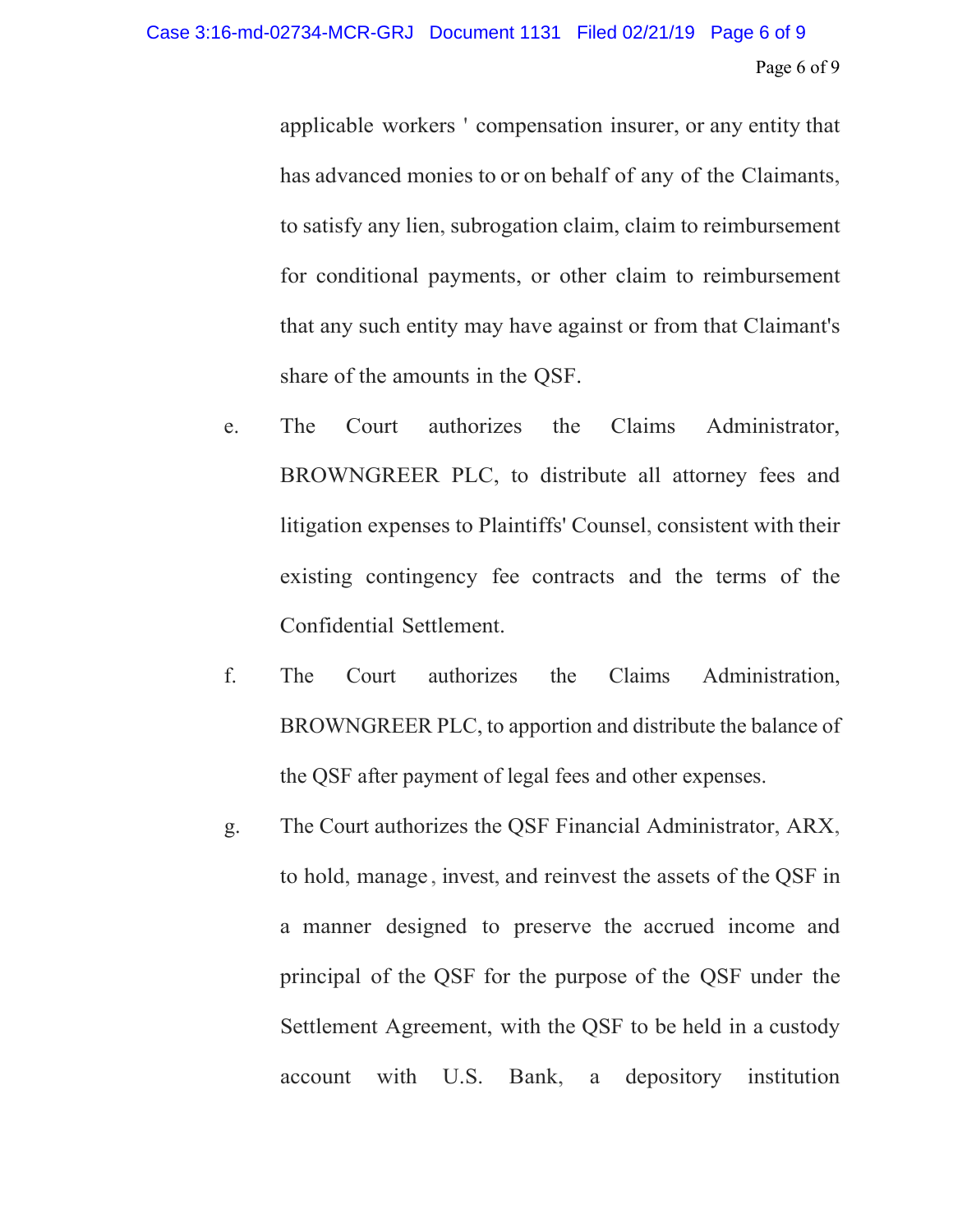applicable workers ' compensation insurer, or any entity that has advanced monies to or on behalf of any of the Claimants, to satisfy any lien, subrogation claim, claim to reimbursement for conditional payments, or other claim to reimbursement that any such entity may have against or from that Claimant's share of the amounts in the QSF.

- e. The Court authorizes the Claims Administrator, BROWNGREER PLC, to distribute all attorney fees and litigation expenses to Plaintiffs' Counsel, consistent with their existing contingency fee contracts and the terms of the Confidential Settlement.
- f. The Court authorizes the Claims Administration, BROWNGREER PLC, to apportion and distribute the balance of the QSF after payment of legal fees and other expenses.
- g. The Court authorizes the QSF Financial Administrator, ARX, to hold, manage , invest, and reinvest the assets of the QSF in a manner designed to preserve the accrued income and principal of the QSF for the purpose of the QSF under the Settlement Agreement, with the QSF to be held in a custody account with U.S. Bank, a depository institution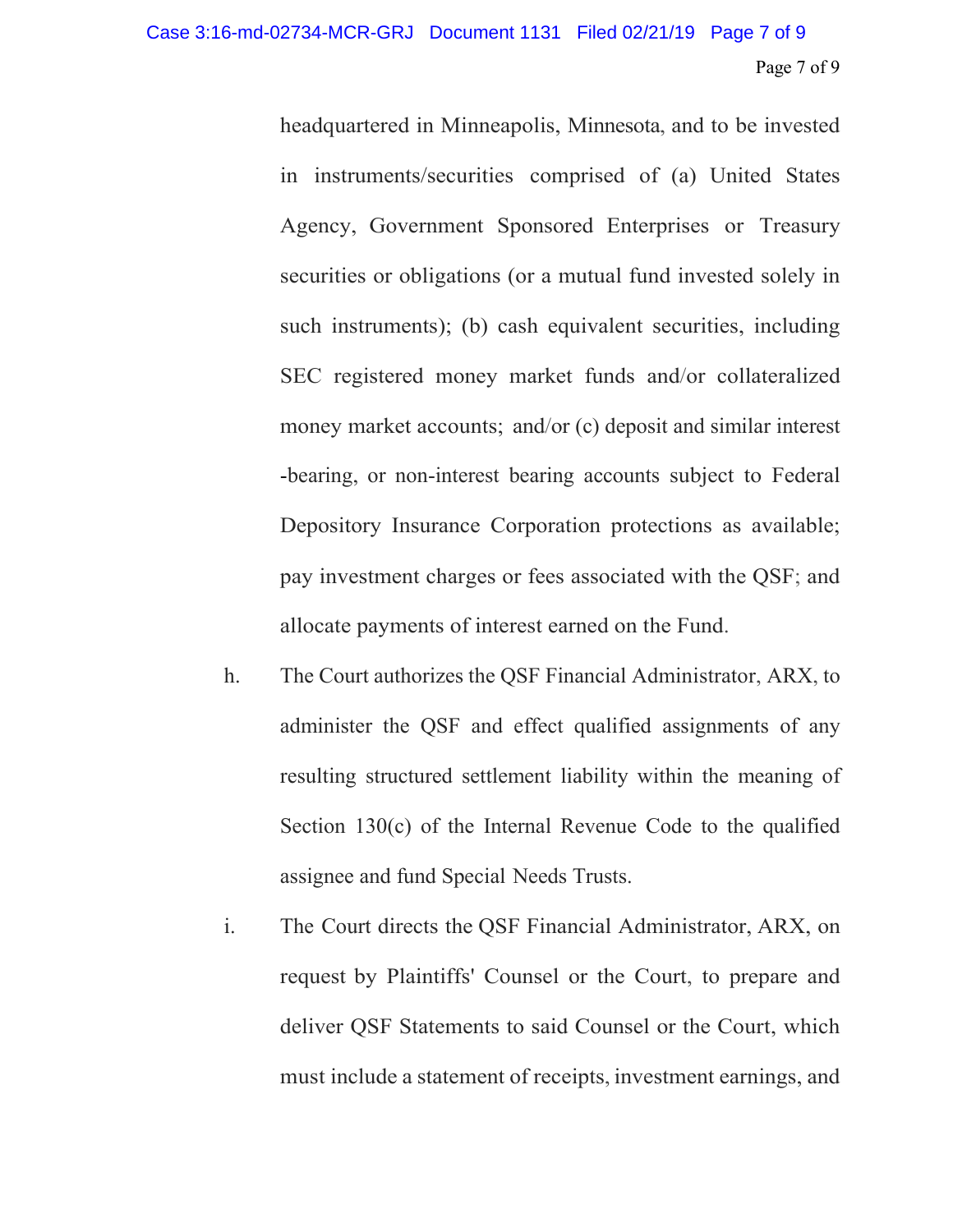headquartered in Minneapolis, Minnesota, and to be invested in instruments/securities comprised of (a) United States Agency, Government Sponsored Enterprises or Treasury securities or obligations (or a mutual fund invested solely in such instruments); (b) cash equivalent securities, including SEC registered money market funds and/or collateralized money market accounts; and/or (c) deposit and similar interest -bearing, or non-interest bearing accounts subject to Federal Depository Insurance Corporation protections as available; pay investment charges or fees associated with the QSF; and allocate payments of interest earned on the Fund.

- h. The Court authorizes the QSF Financial Administrator, ARX, to administer the QSF and effect qualified assignments of any resulting structured settlement liability within the meaning of Section 130(c) of the Internal Revenue Code to the qualified assignee and fund Special Needs Trusts.
- i. The Court directs the QSF Financial Administrator, ARX, on request by Plaintiffs' Counsel or the Court, to prepare and deliver QSF Statements to said Counsel or the Court, which must include a statement of receipts, investment earnings, and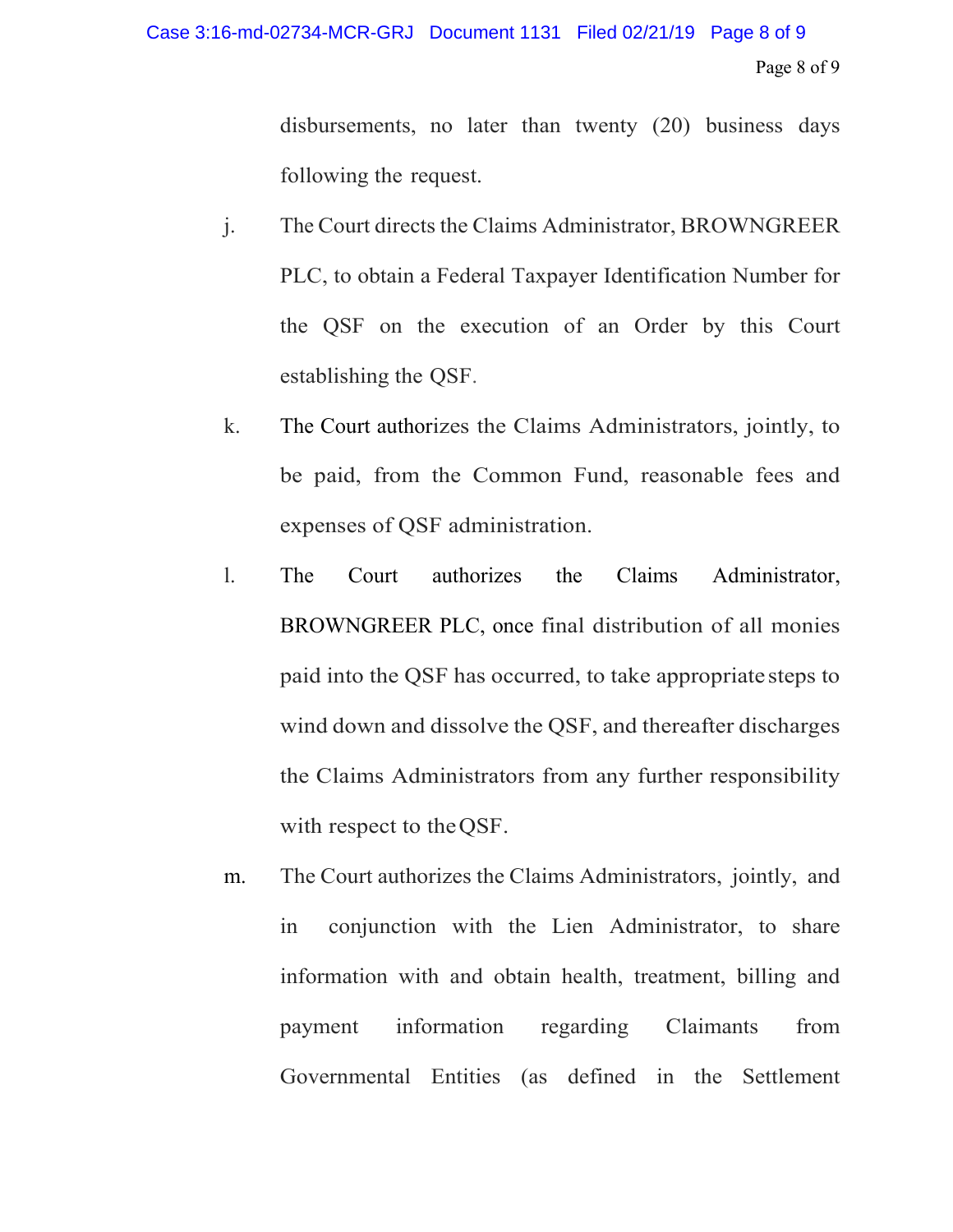## Page 8 of 9 Case 3:16-md-02734-MCR-GRJ Document 1131 Filed 02/21/19 Page 8 of 9

disbursements, no later than twenty (20) business days following the request.

- j. The Court directs the Claims Administrator, BROWNGREER PLC, to obtain a Federal Taxpayer Identification Number for the QSF on the execution of an Order by this Court establishing the QSF.
- k. The Court authorizes the Claims Administrators, jointly, to be paid, from the Common Fund, reasonable fees and expenses of QSF administration.
- l. The Court authorizes the Claims Administrator, BROWNGREER PLC, once final distribution of all monies paid into the QSF has occurred, to take appropriate steps to wind down and dissolve the QSF, and thereafter discharges the Claims Administrators from any further responsibility with respect to theQSF.
- m. The Court authorizes the Claims Administrators, jointly, and in conjunction with the Lien Administrator, to share information with and obtain health, treatment, billing and payment information regarding Claimants from Governmental Entities (as defined in the Settlement